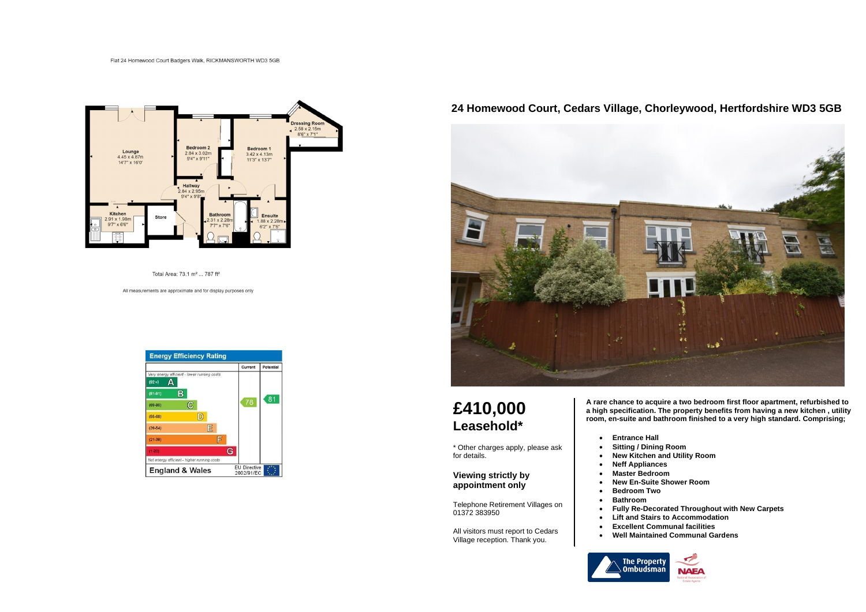#### Flat 24 Homewood Court Badgers Walk, RICKMANSWORTH WD3 5GB



Total Area: 73.1 m<sup>2</sup> ... 787 ft<sup>2</sup>

All measurements are approximate and for display purposes only

| Current | Potential |
|---------|-----------|
|         |           |
|         |           |
|         | 81        |
|         |           |
|         |           |
|         |           |
|         |           |
|         |           |
|         |           |
|         | 78<br>G   |

## **24 Homewood Court, Cedars Village, Chorleywood, Hertfordshire WD3 5GB**



# **£410,000 Leasehold\***

\* Other charges apply, please ask for details.

#### **Viewing strictly by appointment only**

Telephone Retirement Villages on 01372 383950

All visitors must report to Cedars Village reception. Thank you.

**A rare chance to acquire a two bedroom first floor apartment, refurbished to a high specification. The property benefits from having a new kitchen , utility room, en-suite and bathroom finished to a very high standard. Comprising;** 

- **Entrance Hall**
- **Sitting / Dining Room**
- 
- **Neff Appliances** • **Master Bedroom**
- 
- **Bedroom Two**
- **Bathroom**
- 
- 
- 
- 



- 
- 
- **New Kitchen and Utility Room**
	-
	-
	- **New En-Suite Shower Room**
		-

• **Fully Re-Decorated Throughout with New Carpets** • **Lift and Stairs to Accommodation** • **Excellent Communal facilities** • **Well Maintained Communal Gardens**